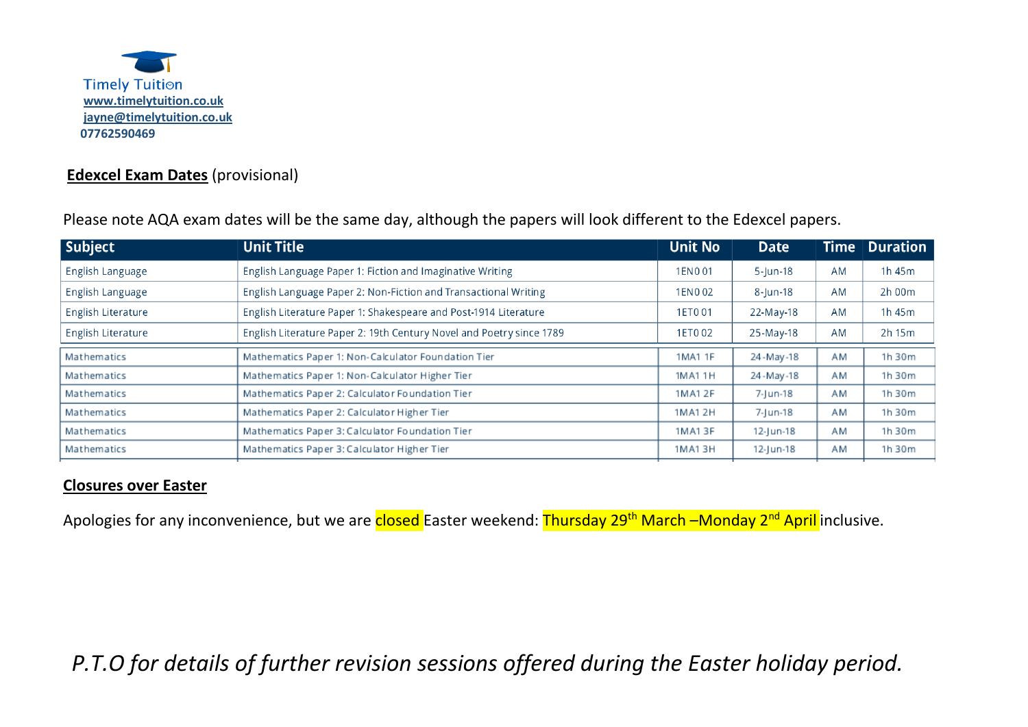

## **Edexcel Exam Dates** (provisional)

Please note AQA exam dates will be the same day, although the papers will look different to the Edexcel papers.

| Subject            | <b>Unit Title</b>                                                    | <b>Unit No</b> | <b>Date</b> | <b>Time</b> | $\blacksquare$ Duration |
|--------------------|----------------------------------------------------------------------|----------------|-------------|-------------|-------------------------|
| English Language   | English Language Paper 1: Fiction and Imaginative Writing            |                | $5$ -Jun-18 | AM          | 1h 45m                  |
| English Language   | English Language Paper 2: Non-Fiction and Transactional Writing      | 1EN002         | 8-Jun-18    | AM          | 2h 00m                  |
| English Literature | English Literature Paper 1: Shakespeare and Post-1914 Literature     | 1ET0 01        | 22-May-18   | AM          | 1h 45m                  |
| English Literature | English Literature Paper 2: 19th Century Novel and Poetry since 1789 | 1ET002         | 25-May-18   | <b>AM</b>   | 2h 15m                  |
| Mathematics        | Mathematics Paper 1: Non-Calculator Foundation Tier                  | 1MA1 1F        | 24-May-18   | AM          | 1h 30m                  |
| Mathematics        | Mathematics Paper 1: Non-Calculator Higher Tier                      | 1MA1 1H        | 24-May-18   | AM          | 1h 30m                  |
| Mathematics        | Mathematics Paper 2: Calculator Foundation Tier                      | 1MA1 2F        | 7-Jun-18    | AM          | 1h 30m                  |
| Mathematics        | Mathematics Paper 2: Calculator Higher Tier                          | 1MA1 2H        | 7-Jun-18    | AM          | 1h 30m                  |
| Mathematics        | Mathematics Paper 3: Calculator Foundation Tier                      | 1MA13F         | 12-Jun-18   | AM          | 1h 30m                  |
| Mathematics        | Mathematics Paper 3: Calculator Higher Tier                          | 1MA13H         | 12-Jun-18   | AM          | 1h 30m                  |

## **Closures over Easter**

Apologies for any inconvenience, but we are closed Easter weekend: Thursday 29<sup>th</sup> March –Monday 2<sup>nd</sup> April inclusive.

 *P.T.O for details of further revision sessions offered during the Easter holiday period.*